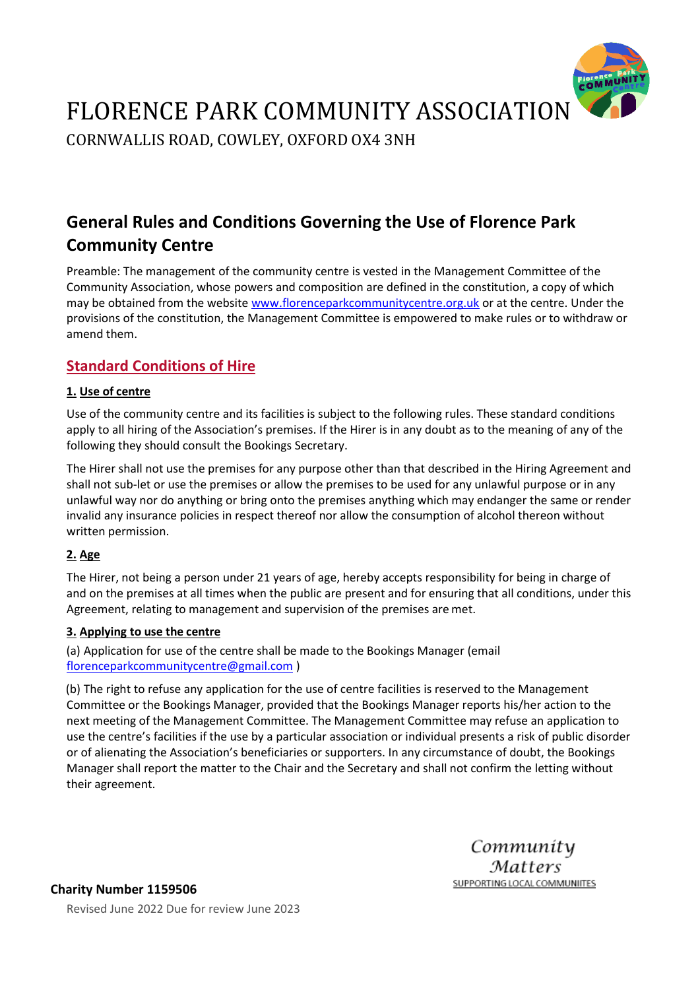

CORNWALLIS ROAD, COWLEY, OXFORD OX4 3NH

# **General Rules and Conditions Governing the Use of Florence Park Community Centre**

Preamble: The management of the community centre is vested in the Management Committee of the Community Association, whose powers and composition are defined in the constitution, a copy of which may be obtained from the website [www.florenceparkcommunitycentre.org.uk](http://www.florenceparkcommunitycentre.org.uk/) or at the centre. Under the provisions of the constitution, the Management Committee is empowered to make rules or to withdraw or amend them.

## **Standard Conditions of Hire**

## **1. Use of centre**

Use of the community centre and its facilities is subject to the following rules. These standard conditions apply to all hiring of the Association's premises. If the Hirer is in any doubt as to the meaning of any of the following they should consult the Bookings Secretary.

The Hirer shall not use the premises for any purpose other than that described in the Hiring Agreement and shall not sub-let or use the premises or allow the premises to be used for any unlawful purpose or in any unlawful way nor do anything or bring onto the premises anything which may endanger the same or render invalid any insurance policies in respect thereof nor allow the consumption of alcohol thereon without written permission.

## **2. Age**

The Hirer, not being a person under 21 years of age, hereby accepts responsibility for being in charge of and on the premises at all times when the public are present and for ensuring that all conditions, under this Agreement, relating to management and supervision of the premises are met.

## **3. Applying to use the centre**

(a) Application for use of the centre shall be made to the Bookings Manager (email [florenceparkcommunitycentre@gmail.com](mailto:florenceparkcommunitycentre@gmail.com) )

(b) The right to refuse any application for the use of centre facilities is reserved to the Management Committee or the Bookings Manager, provided that the Bookings Manager reports his/her action to the next meeting of the Management Committee. The Management Committee may refuse an application to use the centre's facilities if the use by a particular association or individual presents a risk of public disorder or of alienating the Association's beneficiaries or supporters. In any circumstance of doubt, the Bookings Manager shall report the matter to the Chair and the Secretary and shall not confirm the letting without their agreement.

> Community Matters SUPPORTING LOCAL COMMUNITES

**Charity Number 1159506**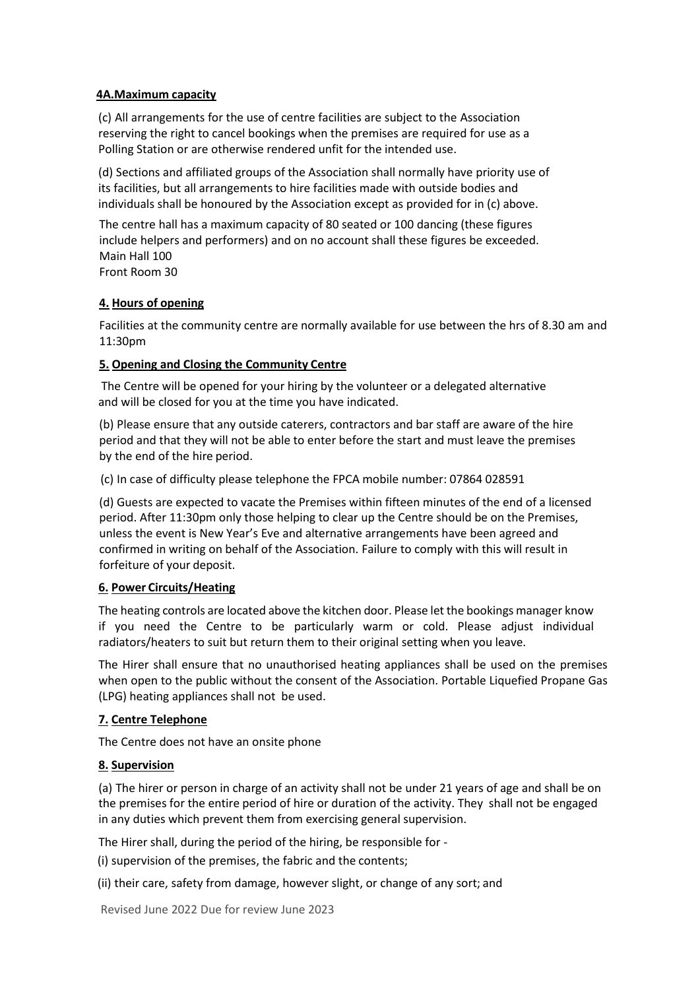#### **4A.Maximum capacity**

(c) All arrangements for the use of centre facilities are subject to the Association reserving the right to cancel bookings when the premises are required for use as a Polling Station or are otherwise rendered unfit for the intended use.

(d) Sections and affiliated groups of the Association shall normally have priority use of its facilities, but all arrangements to hire facilities made with outside bodies and individuals shall be honoured by the Association except as provided for in (c) above.

The centre hall has a maximum capacity of 80 seated or 100 dancing (these figures include helpers and performers) and on no account shall these figures be exceeded. Main Hall 100 Front Room 30

## **4. Hours of opening**

Facilities at the community centre are normally available for use between the hrs of 8.30 am and 11:30pm

## **5. Opening and Closing the Community Centre**

The Centre will be opened for your hiring by the volunteer or a delegated alternative and will be closed for you at the time you have indicated.

(b) Please ensure that any outside caterers, contractors and bar staff are aware of the hire period and that they will not be able to enter before the start and must leave the premises by the end of the hire period.

(c) In case of difficulty please telephone the FPCA mobile number: 07864 028591

(d) Guests are expected to vacate the Premises within fifteen minutes of the end of a licensed period. After 11:30pm only those helping to clear up the Centre should be on the Premises, unless the event is New Year's Eve and alternative arrangements have been agreed and confirmed in writing on behalf of the Association. Failure to comply with this will result in forfeiture of your deposit.

## **6. Power Circuits/Heating**

The heating controls are located above the kitchen door. Please let the bookings manager know if you need the Centre to be particularly warm or cold. Please adjust individual radiators/heaters to suit but return them to their original setting when you leave.

The Hirer shall ensure that no unauthorised heating appliances shall be used on the premises when open to the public without the consent of the Association. Portable Liquefied Propane Gas (LPG) heating appliances shall not be used.

## **7. Centre Telephone**

The Centre does not have an onsite phone

## **8. Supervision**

(a) The hirer or person in charge of an activity shall not be under 21 years of age and shall be on the premises for the entire period of hire or duration of the activity. They shall not be engaged in any duties which prevent them from exercising general supervision.

The Hirer shall, during the period of the hiring, be responsible for -

(i) supervision of the premises, the fabric and the contents;

(ii) their care, safety from damage, however slight, or change of any sort; and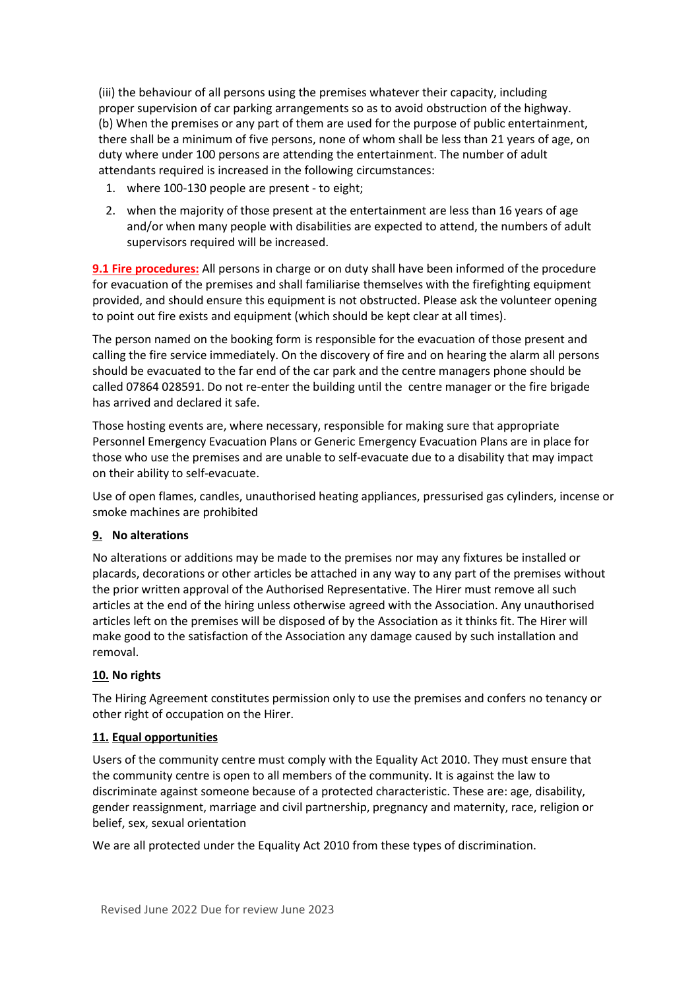(iii) the behaviour of all persons using the premises whatever their capacity, including proper supervision of car parking arrangements so as to avoid obstruction of the highway. (b) When the premises or any part of them are used for the purpose of public entertainment, there shall be a minimum of five persons, none of whom shall be less than 21 years of age, on duty where under 100 persons are attending the entertainment. The number of adult attendants required is increased in the following circumstances:

- 1. where 100-130 people are present to eight;
- 2. when the majority of those present at the entertainment are less than 16 years of age and/or when many people with disabilities are expected to attend, the numbers of adult supervisors required will be increased.

**9.1 Fire procedures:** All persons in charge or on duty shall have been informed of the procedure for evacuation of the premises and shall familiarise themselves with the firefighting equipment provided, and should ensure this equipment is not obstructed. Please ask the volunteer opening to point out fire exists and equipment (which should be kept clear at all times).

The person named on the booking form is responsible for the evacuation of those present and calling the fire service immediately. On the discovery of fire and on hearing the alarm all persons should be evacuated to the far end of the car park and the centre managers phone should be called 07864 028591. Do not re-enter the building until the centre manager or the fire brigade has arrived and declared it safe.

Those hosting events are, where necessary, responsible for making sure that appropriate Personnel Emergency Evacuation Plans or Generic Emergency Evacuation Plans are in place for those who use the premises and are unable to self-evacuate due to a disability that may impact on their ability to self-evacuate.

Use of open flames, candles, unauthorised heating appliances, pressurised gas cylinders, incense or smoke machines are prohibited

## **9. No alterations**

No alterations or additions may be made to the premises nor may any fixtures be installed or placards, decorations or other articles be attached in any way to any part of the premises without the prior written approval of the Authorised Representative. The Hirer must remove all such articles at the end of the hiring unless otherwise agreed with the Association. Any unauthorised articles left on the premises will be disposed of by the Association as it thinks fit. The Hirer will make good to the satisfaction of the Association any damage caused by such installation and removal.

#### **10. No rights**

The Hiring Agreement constitutes permission only to use the premises and confers no tenancy or other right of occupation on the Hirer.

#### **11. Equal opportunities**

Users of the community centre must comply with the Equality Act 2010. They must ensure that the community centre is open to all members of the community. It is against the law to discriminate against someone because of a protected characteristic. These are: age, disability, gender reassignment, marriage and civil partnership, pregnancy and maternity, race, religion or belief, sex, sexual orientation

We are all protected under the Equality Act 2010 from these types of discrimination.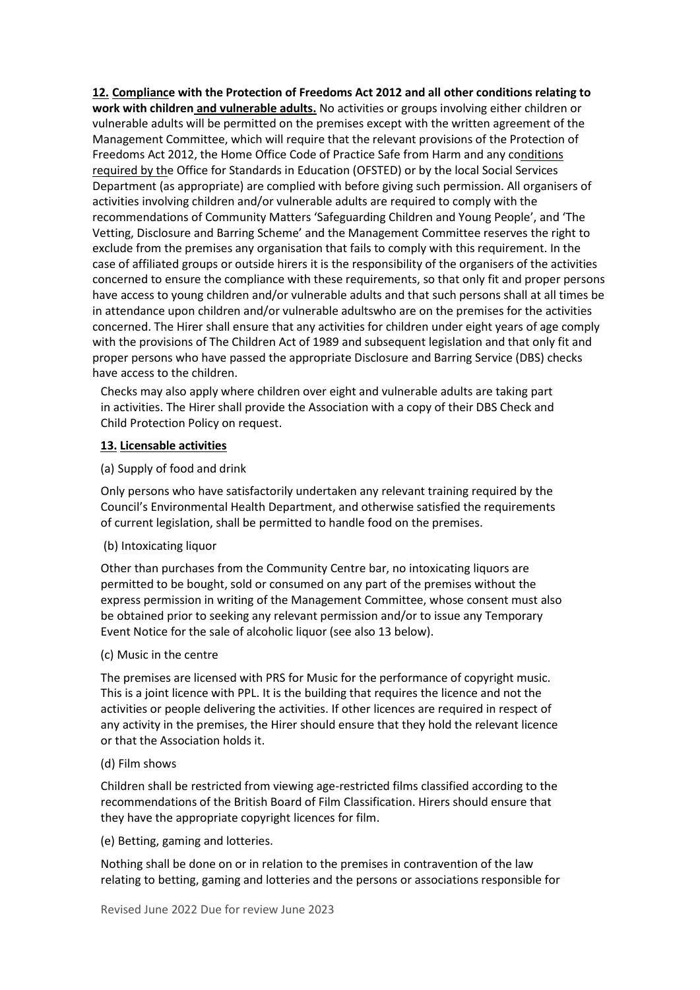**12. Compliance with the Protection of Freedoms Act 2012 and all other conditions relating to work with children and vulnerable adults.** No activities or groups involving either children or vulnerable adults will be permitted on the premises except with the written agreement of the Management Committee, which will require that the relevant provisions of the Protection of Freedoms Act 2012, the Home Office Code of Practice Safe from Harm and any conditions required by the Office for Standards in Education (OFSTED) or by the local Social Services Department (as appropriate) are complied with before giving such permission. All organisers of activities involving children and/or vulnerable adults are required to comply with the recommendations of Community Matters 'Safeguarding Children and Young People', and 'The Vetting, Disclosure and Barring Scheme' and the Management Committee reserves the right to exclude from the premises any organisation that fails to comply with this requirement. In the case of affiliated groups or outside hirers it is the responsibility of the organisers of the activities concerned to ensure the compliance with these requirements, so that only fit and proper persons have access to young children and/or vulnerable adults and that such persons shall at all times be in attendance upon children and/or vulnerable adultswho are on the premises for the activities concerned. The Hirer shall ensure that any activities for children under eight years of age comply with the provisions of The Children Act of 1989 and subsequent legislation and that only fit and proper persons who have passed the appropriate Disclosure and Barring Service (DBS) checks have access to the children.

Checks may also apply where children over eight and vulnerable adults are taking part in activities. The Hirer shall provide the Association with a copy of their DBS Check and Child Protection Policy on request.

#### **13. Licensable activities**

#### (a) Supply of food and drink

Only persons who have satisfactorily undertaken any relevant training required by the Council's Environmental Health Department, and otherwise satisfied the requirements of current legislation, shall be permitted to handle food on the premises.

#### (b) Intoxicating liquor

Other than purchases from the Community Centre bar, no intoxicating liquors are permitted to be bought, sold or consumed on any part of the premises without the express permission in writing of the Management Committee, whose consent must also be obtained prior to seeking any relevant permission and/or to issue any Temporary Event Notice for the sale of alcoholic liquor (see also 13 below).

#### (c) Music in the centre

The premises are licensed with PRS for Music for the performance of copyright music. This is a joint licence with PPL. It is the building that requires the licence and not the activities or people delivering the activities. If other licences are required in respect of any activity in the premises, the Hirer should ensure that they hold the relevant licence or that the Association holds it.

#### (d) Film shows

Children shall be restricted from viewing age-restricted films classified according to the recommendations of the British Board of Film Classification. Hirers should ensure that they have the appropriate copyright licences for film.

(e) Betting, gaming and lotteries.

Nothing shall be done on or in relation to the premises in contravention of the law relating to betting, gaming and lotteries and the persons or associations responsible for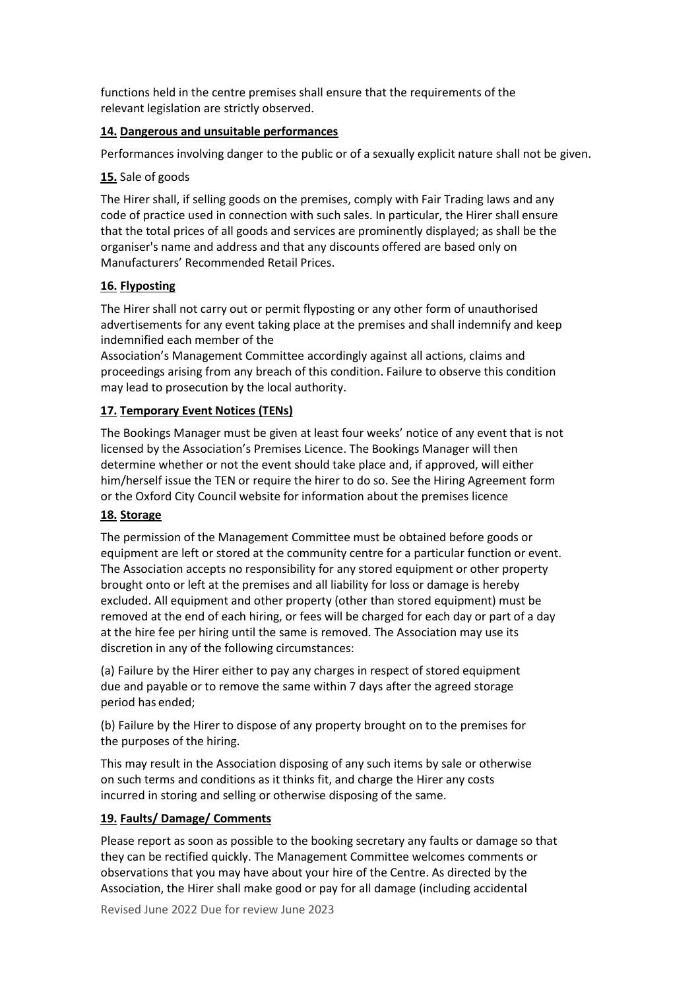functions held in the centre premises shall ensure that the requirements of the relevant legislation are strictly observed.

## **14. Dangerous and unsuitable performances**

Performances involving danger to the public or of a sexually explicit nature shall not be given.

## **15.** Sale of goods

The Hirer shall, if selling goods on the premises, comply with Fair Trading laws and any code of practice used in connection with such sales. In particular, the Hirer shall ensure that the total prices of all goods and services are prominently displayed; as shall be the organiser's name and address and that any discounts offered are based only on Manufacturers' Recommended Retail Prices.

## **16. Flyposting**

The Hirer shall not carry out or permit flyposting or any other form of unauthorised advertisements for any event taking place at the premises and shall indemnify and keep indemnified each member of the

Association's Management Committee accordingly against all actions, claims and proceedings arising from any breach of this condition. Failure to observe this condition may lead to prosecution by the local authority.

## **17. Temporary Event Notices (TENs)**

The Bookings Manager must be given at least four weeks' notice of any event that is not licensed by the Association's Premises Licence. The Bookings Manager will then determine whether or not the event should take place and, if approved, will either him/herself issue the TEN or require the hirer to do so. See the Hiring Agreement form or the Oxford City Council website for information about the premises licence

## **18. Storage**

The permission of the Management Committee must be obtained before goods or equipment are left or stored at the community centre for a particular function or event. The Association accepts no responsibility for any stored equipment or other property brought onto or left at the premises and all liability for loss or damage is hereby excluded. All equipment and other property (other than stored equipment) must be removed at the end of each hiring, or fees will be charged for each day or part of a day at the hire fee per hiring until the same is removed. The Association may use its discretion in any of the following circumstances:

(a) Failure by the Hirer either to pay any charges in respect of stored equipment due and payable or to remove the same within 7 days after the agreed storage period has ended;

(b) Failure by the Hirer to dispose of any property brought on to the premises for the purposes of the hiring.

This may result in the Association disposing of any such items by sale or otherwise on such terms and conditions as it thinks fit, and charge the Hirer any costs incurred in storing and selling or otherwise disposing of the same.

## **19. Faults/ Damage/ Comments**

Please report as soon as possible to the booking secretary any faults or damage so that they can be rectified quickly. The Management Committee welcomes comments or observations that you may have about your hire of the Centre. As directed by the Association, the Hirer shall make good or pay for all damage (including accidental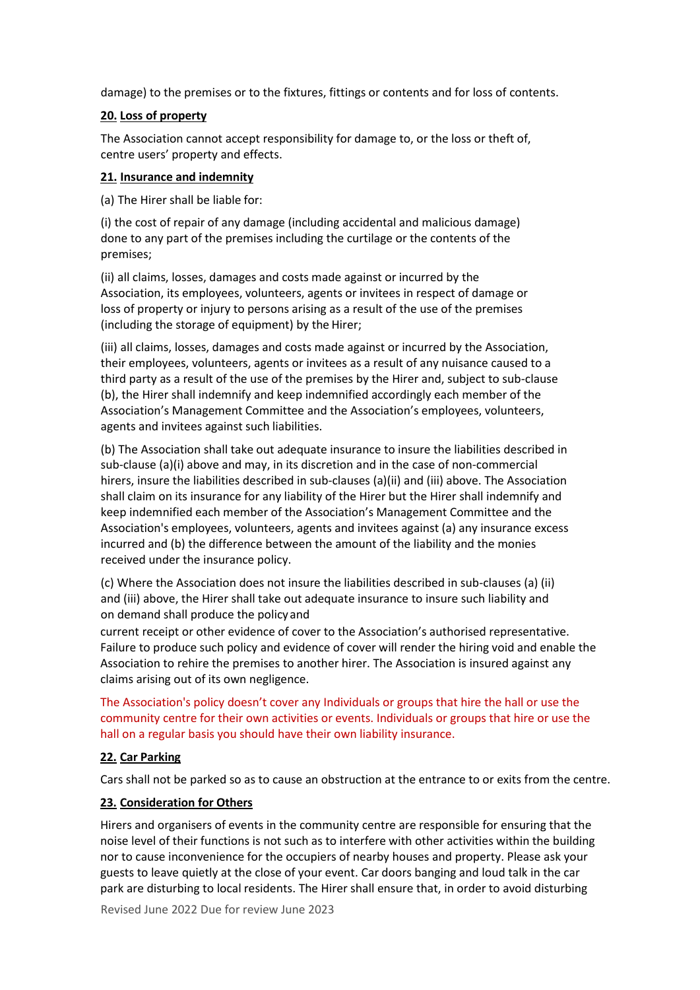damage) to the premises or to the fixtures, fittings or contents and for loss of contents.

#### **20. Loss of property**

The Association cannot accept responsibility for damage to, or the loss or theft of, centre users' property and effects.

#### **21. Insurance and indemnity**

(a) The Hirer shall be liable for:

(i) the cost of repair of any damage (including accidental and malicious damage) done to any part of the premises including the curtilage or the contents of the premises;

(ii) all claims, losses, damages and costs made against or incurred by the Association, its employees, volunteers, agents or invitees in respect of damage or loss of property or injury to persons arising as a result of the use of the premises (including the storage of equipment) by the Hirer;

(iii) all claims, losses, damages and costs made against or incurred by the Association, their employees, volunteers, agents or invitees as a result of any nuisance caused to a third party as a result of the use of the premises by the Hirer and, subject to sub-clause (b), the Hirer shall indemnify and keep indemnified accordingly each member of the Association's Management Committee and the Association's employees, volunteers, agents and invitees against such liabilities.

(b) The Association shall take out adequate insurance to insure the liabilities described in sub-clause (a)(i) above and may, in its discretion and in the case of non-commercial hirers, insure the liabilities described in sub-clauses (a)(ii) and (iii) above. The Association shall claim on its insurance for any liability of the Hirer but the Hirer shall indemnify and keep indemnified each member of the Association's Management Committee and the Association's employees, volunteers, agents and invitees against (a) any insurance excess incurred and (b) the difference between the amount of the liability and the monies received under the insurance policy.

(c) Where the Association does not insure the liabilities described in sub-clauses (a) (ii) and (iii) above, the Hirer shall take out adequate insurance to insure such liability and on demand shall produce the policyand

current receipt or other evidence of cover to the Association's authorised representative. Failure to produce such policy and evidence of cover will render the hiring void and enable the Association to rehire the premises to another hirer. The Association is insured against any claims arising out of its own negligence.

The Association's policy doesn't cover any Individuals or groups that hire the hall or use the community centre for their own activities or events. Individuals or groups that hire or use the hall on a regular basis you should have their own liability insurance.

## **22. Car Parking**

Cars shall not be parked so as to cause an obstruction at the entrance to or exits from the centre.

## **23. Consideration for Others**

Hirers and organisers of events in the community centre are responsible for ensuring that the noise level of their functions is not such as to interfere with other activities within the building nor to cause inconvenience for the occupiers of nearby houses and property. Please ask your guests to leave quietly at the close of your event. Car doors banging and loud talk in the car park are disturbing to local residents. The Hirer shall ensure that, in order to avoid disturbing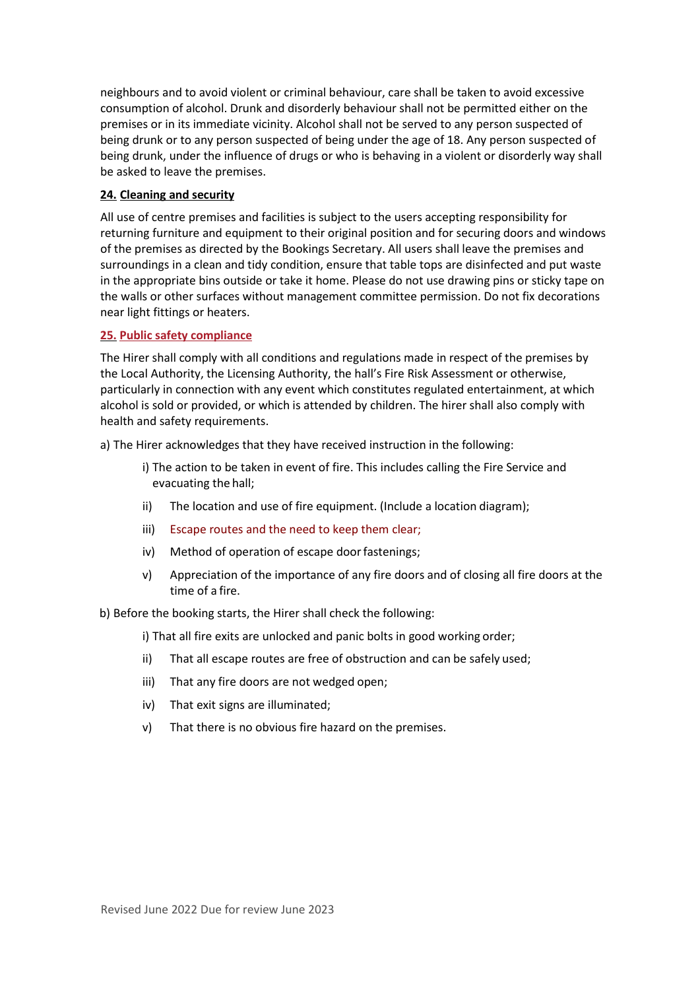neighbours and to avoid violent or criminal behaviour, care shall be taken to avoid excessive consumption of alcohol. Drunk and disorderly behaviour shall not be permitted either on the premises or in its immediate vicinity. Alcohol shall not be served to any person suspected of being drunk or to any person suspected of being under the age of 18. Any person suspected of being drunk, under the influence of drugs or who is behaving in a violent or disorderly way shall be asked to leave the premises.

## **24. Cleaning and security**

All use of centre premises and facilities is subject to the users accepting responsibility for returning furniture and equipment to their original position and for securing doors and windows of the premises as directed by the Bookings Secretary. All users shall leave the premises and surroundings in a clean and tidy condition, ensure that table tops are disinfected and put waste in the appropriate bins outside or take it home. Please do not use drawing pins or sticky tape on the walls or other surfaces without management committee permission. Do not fix decorations near light fittings or heaters.

## **25. Public safety compliance**

The Hirer shall comply with all conditions and regulations made in respect of the premises by the Local Authority, the Licensing Authority, the hall's Fire Risk Assessment or otherwise, particularly in connection with any event which constitutes regulated entertainment, at which alcohol is sold or provided, or which is attended by children. The hirer shall also comply with health and safety requirements.

a) The Hirer acknowledges that they have received instruction in the following:

- i) The action to be taken in event of fire. This includes calling the Fire Service and evacuating the hall;
- ii) The location and use of fire equipment. (Include a location diagram);
- iii) Escape routes and the need to keep them clear;
- iv) Method of operation of escape door fastenings;
- v) Appreciation of the importance of any fire doors and of closing all fire doors at the time of a fire.

b) Before the booking starts, the Hirer shall check the following:

i) That all fire exits are unlocked and panic bolts in good working order;

- ii) That all escape routes are free of obstruction and can be safely used;
- iii) That any fire doors are not wedged open;
- iv) That exit signs are illuminated;
- v) That there is no obvious fire hazard on the premises.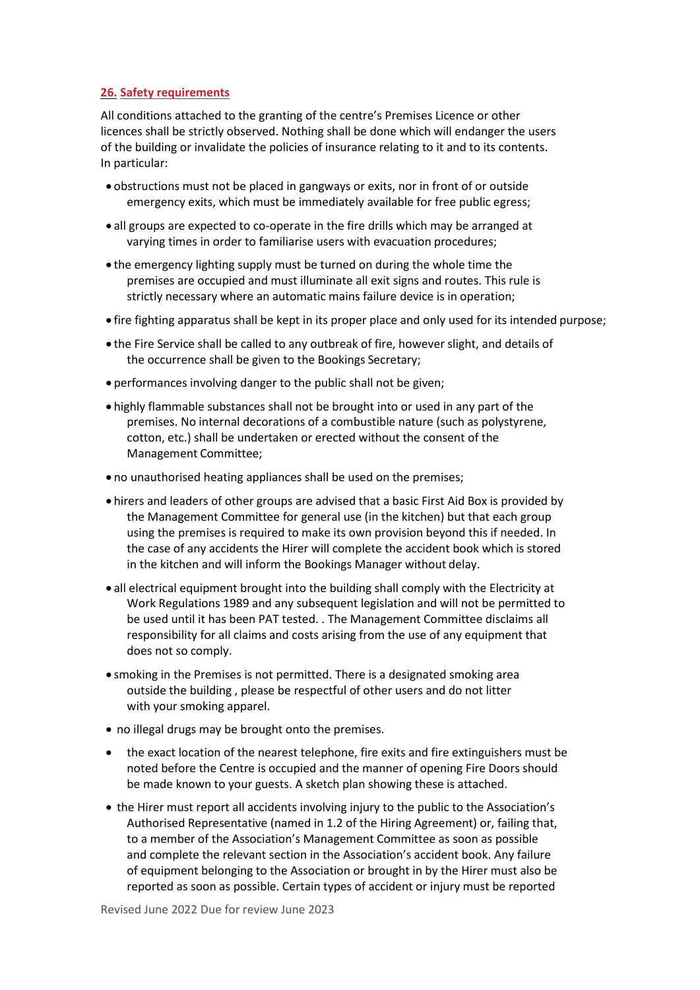#### **26. Safety requirements**

All conditions attached to the granting of the centre's Premises Licence or other licences shall be strictly observed. Nothing shall be done which will endanger the users of the building or invalidate the policies of insurance relating to it and to its contents. In particular:

- obstructions must not be placed in gangways or exits, nor in front of or outside emergency exits, which must be immediately available for free public egress;
- all groups are expected to co-operate in the fire drills which may be arranged at varying times in order to familiarise users with evacuation procedures;
- the emergency lighting supply must be turned on during the whole time the premises are occupied and must illuminate all exit signs and routes. This rule is strictly necessary where an automatic mains failure device is in operation;
- fire fighting apparatus shall be kept in its proper place and only used for its intended purpose;
- the Fire Service shall be called to any outbreak of fire, however slight, and details of the occurrence shall be given to the Bookings Secretary;
- performances involving danger to the public shall not be given;
- highly flammable substances shall not be brought into or used in any part of the premises. No internal decorations of a combustible nature (such as polystyrene, cotton, etc.) shall be undertaken or erected without the consent of the Management Committee;
- no unauthorised heating appliances shall be used on the premises;
- hirers and leaders of other groups are advised that a basic First Aid Box is provided by the Management Committee for general use (in the kitchen) but that each group using the premises is required to make its own provision beyond this if needed. In the case of any accidents the Hirer will complete the accident book which is stored in the kitchen and will inform the Bookings Manager without delay.
- all electrical equipment brought into the building shall comply with the Electricity at Work Regulations 1989 and any subsequent legislation and will not be permitted to be used until it has been PAT tested. . The Management Committee disclaims all responsibility for all claims and costs arising from the use of any equipment that does not so comply.
- smoking in the Premises is not permitted. There is a designated smoking area outside the building , please be respectful of other users and do not litter with your smoking apparel.
- no illegal drugs may be brought onto the premises.
- the exact location of the nearest telephone, fire exits and fire extinguishers must be noted before the Centre is occupied and the manner of opening Fire Doors should be made known to your guests. A sketch plan showing these is attached.
- the Hirer must report all accidents involving injury to the public to the Association's Authorised Representative (named in 1.2 of the Hiring Agreement) or, failing that, to a member of the Association's Management Committee as soon as possible and complete the relevant section in the Association's accident book. Any failure of equipment belonging to the Association or brought in by the Hirer must also be reported as soon as possible. Certain types of accident or injury must be reported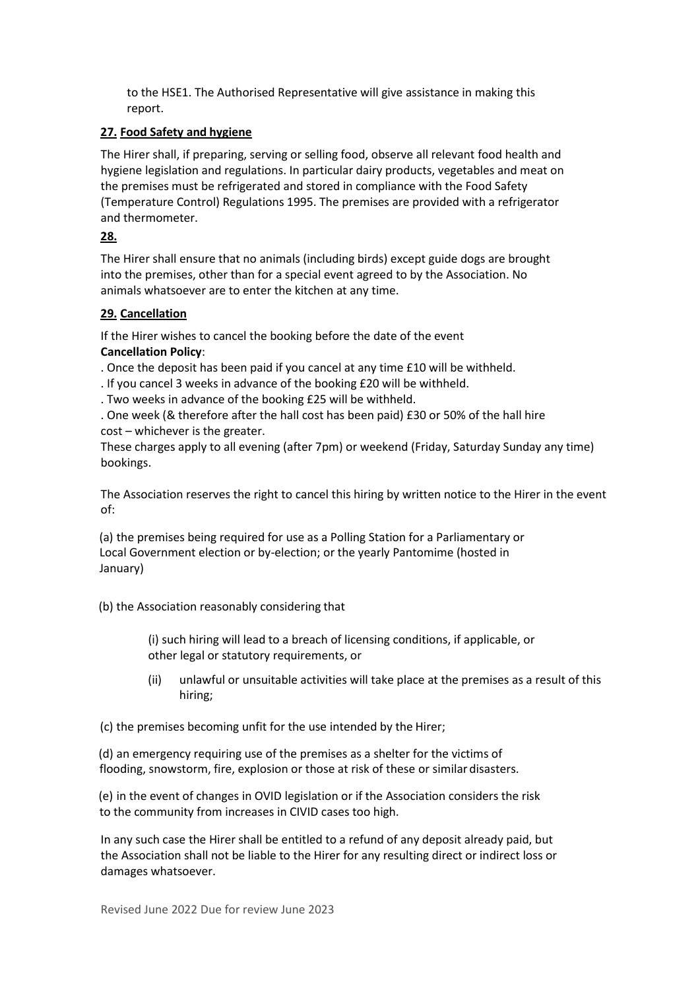to the HSE1. The Authorised Representative will give assistance in making this report.

## **27. Food Safety and hygiene**

The Hirer shall, if preparing, serving or selling food, observe all relevant food health and hygiene legislation and regulations. In particular dairy products, vegetables and meat on the premises must be refrigerated and stored in compliance with the Food Safety (Temperature Control) Regulations 1995. The premises are provided with a refrigerator and thermometer.

## **28.**

The Hirer shall ensure that no animals (including birds) except guide dogs are brought into the premises, other than for a special event agreed to by the Association. No animals whatsoever are to enter the kitchen at any time.

## **29. Cancellation**

If the Hirer wishes to cancel the booking before the date of the event **Cancellation Policy**:

. Once the deposit has been paid if you cancel at any time £10 will be withheld.

. If you cancel 3 weeks in advance of the booking £20 will be withheld.

. Two weeks in advance of the booking £25 will be withheld.

. One week (& therefore after the hall cost has been paid) £30 or 50% of the hall hire cost – whichever is the greater.

These charges apply to all evening (after 7pm) or weekend (Friday, Saturday Sunday any time) bookings.

The Association reserves the right to cancel this hiring by written notice to the Hirer in the event of:

(a) the premises being required for use as a Polling Station for a Parliamentary or Local Government election or by-election; or the yearly Pantomime (hosted in January)

## (b) the Association reasonably considering that

(i) such hiring will lead to a breach of licensing conditions, if applicable, or other legal or statutory requirements, or

(ii) unlawful or unsuitable activities will take place at the premises as a result of this hiring;

(c) the premises becoming unfit for the use intended by the Hirer;

(d) an emergency requiring use of the premises as a shelter for the victims of flooding, snowstorm, fire, explosion or those at risk of these or similar disasters.

(e) in the event of changes in OVID legislation or if the Association considers the risk to the community from increases in CIVID cases too high.

In any such case the Hirer shall be entitled to a refund of any deposit already paid, but the Association shall not be liable to the Hirer for any resulting direct or indirect loss or damages whatsoever.